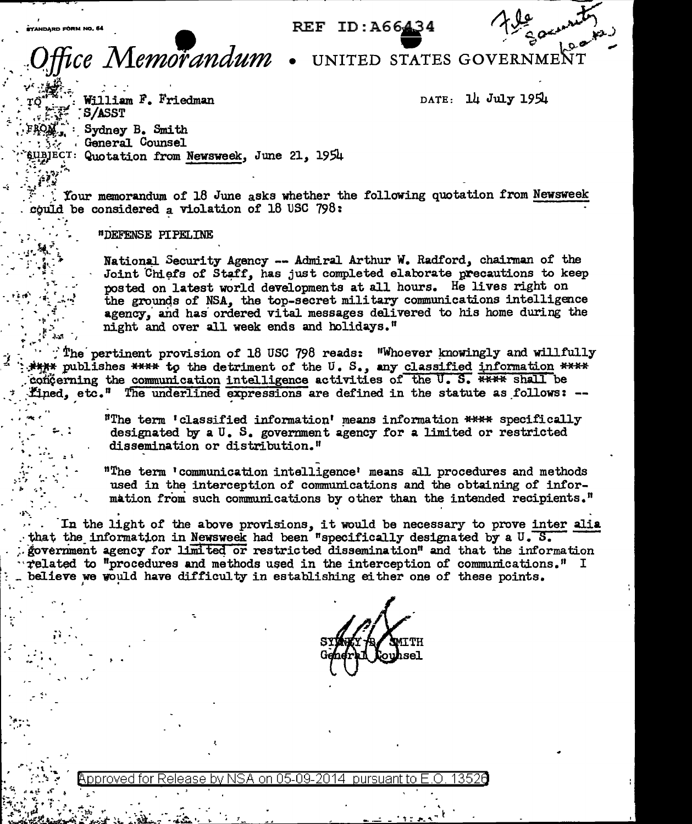REF ID: A66434

ce Memorandum

**eYANDARD FÖRM NO.** 

UNITED STATES GOVERNME

DATE: 14 July 1954

William F. Friedman S/ASST Sydney B. Smith General Counsel BJECT: Quotation from Newsweek, June 21, 1954

Your memorandum of 18 June asks whether the following quotation from Newsweek could be considered a violation of 18 USC 798:

"DEFENSE PIPELINE

National Security Agency -- Admiral Arthur W. Radford, chairman of the Joint Chiefs of Staff, has just completed elaborate precautions to keep posted on latest world developments at all hours. He lives right on the grounds of NSA, the top-secret military communications intelligence agency, and has ordered vital messages delivered to his home during the night and over all week ends and holidays."

The pertinent provision of 18 USC 798 reads: "Whoever knowingly and willfully" \*\*\*\* publishes \*\*\*\* to the detriment of the U.S., any classified information \*\*\*\* concerning the communication intelligence activities of the U.S. \*\*\*\* shall be fined, etc." The underlined expressions are defined in the statute as follows: --

> "The term 'classified information' means information \*\*\*\* specifically designated by a U. S. government agency for a limited or restricted dissemination or distribution."

"The term 'communication intelligence' means all procedures and methods used in the interception of communications and the obtaining of information from such communications by other than the intended recipients."

In the light of the above provisions, it would be necessary to prove inter alia that the information in Newsweek had been "specifically designated by a  $U$ .  $S$ . government agency for limited or restricted dissemination" and that the information related to "procedures and methods used in the interception of communications." I believe we would have difficulty in establishing either one of these points.

pproved for .on 05.09. 2014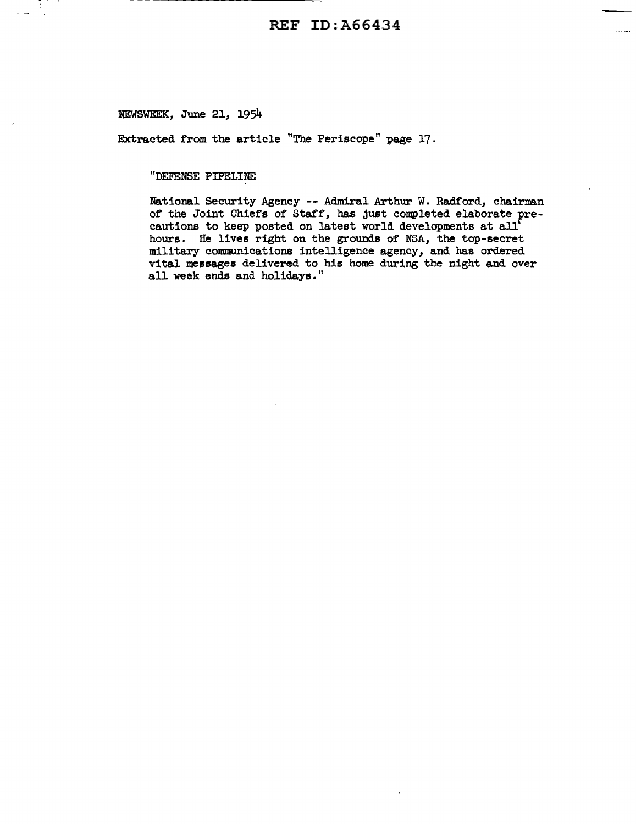$\sim$  -  $\sim$  -  $\sim$ 

NEWSWEEK, June 21, 1954

 $\sim$   $\sim$ 

Extracted from the article "The Periscope" page 17.

## "DEFENSE PIPELINE

National Security Agency -- Admiral Arthur W. Radford, chairman of the Joint Chiefs of Staff, has just completed elaborate precautions to keep posted on latest world developments at all' hours. He lives right on the grounds of NSA, the top-secret military communications intelligence agency, and has ordered vital messages delivered to his home during the night and over all week ends and holidays."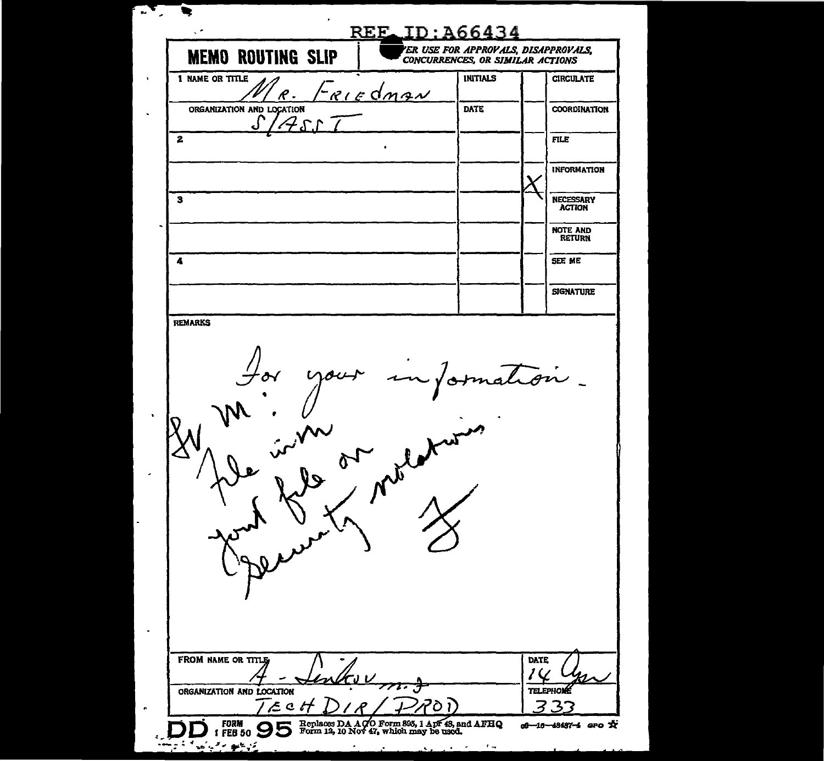| ER USE FOR APPROVALS, DISAPPROVALS,<br><b>MEMO ROUTING SLIP</b><br>CONCURRENCES, OR SIMILAR ACTIONS |               |                 |                                   |
|-----------------------------------------------------------------------------------------------------|---------------|-----------------|-----------------------------------|
| 1 NAME OR TITLE<br><u>Friedman</u>                                                                  |               | <b>INITIALS</b> | <b>CIRCULATE</b>                  |
| ORGANIZATION AND LOCATION                                                                           | <b>DATE</b>   |                 | <b>COORDINATION</b>               |
| $\mathbf{z}$                                                                                        |               |                 | <b>FILE</b>                       |
|                                                                                                     |               |                 | <b>INFORMATION</b>                |
| з                                                                                                   |               |                 | <b>NECESSARY</b><br><b>ACTION</b> |
|                                                                                                     |               |                 | <b>NOTE AND</b><br><b>RETURN</b>  |
| 4                                                                                                   |               |                 | SEE ME                            |
|                                                                                                     |               |                 | <b>SIGNATURE</b>                  |
|                                                                                                     |               |                 |                                   |
|                                                                                                     | $\mathcal{L}$ |                 |                                   |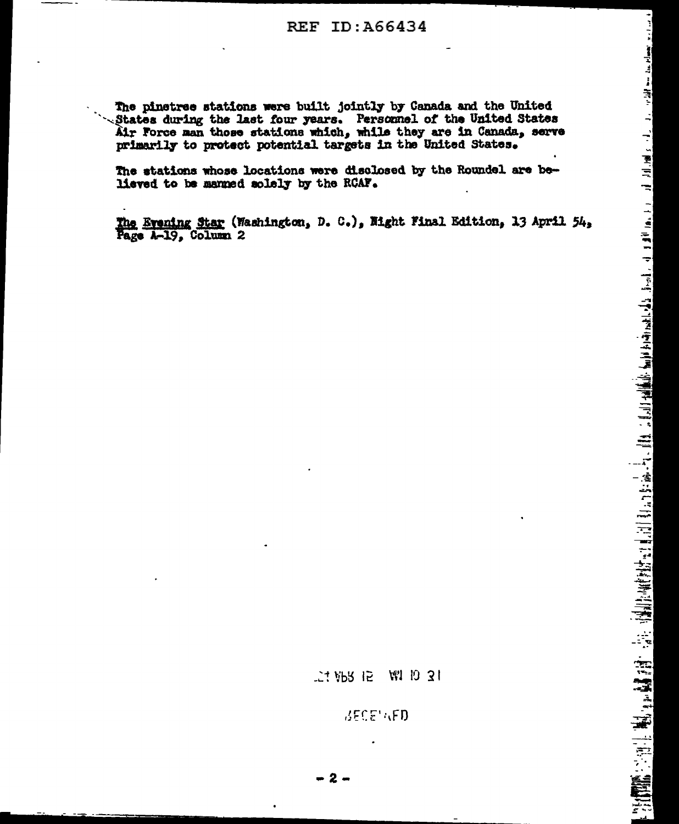The pinetree stations were built jointly by Canada and the United States during the last four years. Personnel of the United States Air Force man those stations which, while they are in Canada, serve primarily to protect potential targets in the United States.

The stations whose locations were disclosed by the Roundel are believed to be manned solely by the RCAF.

The Evening Star (Washington, D. C.), Night Final Edition, 13 April 54. Page A-19, Column 2

> **上村 VbS 12** 周 10 31

> > **BECEMED**

<u>، من ريو روسوام سنة سوالولاين از از از از اوالول از آن آن</u> 

 $-2-$